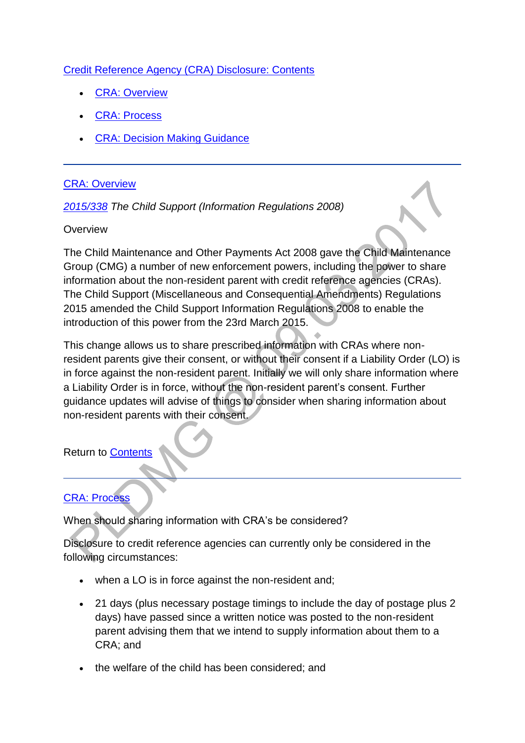### [Credit Reference Agency \(CRA\) Disclosure: Contents](http://np-cmg-sharepoint.link2.gpn.gov.uk/sites/policy-law-and-decision-making-guidance/Pages)

- [CRA: Overview](http://np-cmg-sharepoint.link2.gpn.gov.uk/sites/policy-law-and-decision-making-guidance/Pages/Credit-Reference-Agency-Disclosure.aspx#Overview)
- [CRA: Process](http://np-cmg-sharepoint.link2.gpn.gov.uk/sites/policy-law-and-decision-making-guidance/Pages/Credit-Reference-Agency-Disclosure.aspx#Process)
- [CRA: Decision Making Guidance](http://np-cmg-sharepoint.link2.gpn.gov.uk/sites/policy-law-and-decision-making-guidance/Pages/Credit-Reference-Agency-Disclosure.aspx#DMG)

#### [CRA: Overview](http://np-cmg-sharepoint.link2.gpn.gov.uk/sites/policy-law-and-decision-making-guidance/Pages)

#### *[2015/338](http://www.legislation.gov.uk/uksi/2015/338/contents/made) The Child Support (Information Regulations 2008)*

#### **Overview**

The Child Maintenance and Other Payments Act 2008 gave the Child Maintenance Group (CMG) a number of new enforcement powers, including the power to share information about the non-resident parent with credit reference agencies (CRAs). The Child Support (Miscellaneous and Consequential Amendments) Regulations 2015 amended the Child Support Information Regulations 2008 to enable the introduction of this power from the 23rd March 2015.

This change allows us to share prescribed information with CRAs where nonresident parents give their consent, or without their consent if a Liability Order (LO) is in force against the non-resident parent. Initially we will only share information where a Liability Order is in force, without the non-resident parent's consent. Further guidance updates will advise of things to consider when sharing information about non-resident parents with their consent.

Return to [Contents](http://np-cmg-sharepoint.link2.gpn.gov.uk/sites/policy-law-and-decision-making-guidance/Pages/Credit-Reference-Agency-Disclosure.aspx#Contents)

#### [CRA: Process](http://np-cmg-sharepoint.link2.gpn.gov.uk/sites/policy-law-and-decision-making-guidance/Pages)

When should sharing information with CRA's be considered?

Disclosure to credit reference agencies can currently only be considered in the following circumstances:

- when a LO is in force against the non-resident and;
- 21 days (plus necessary postage timings to include the day of postage plus 2 days) have passed since a written notice was posted to the non-resident parent advising them that we intend to supply information about them to a CRA; and
- the welfare of the child has been considered; and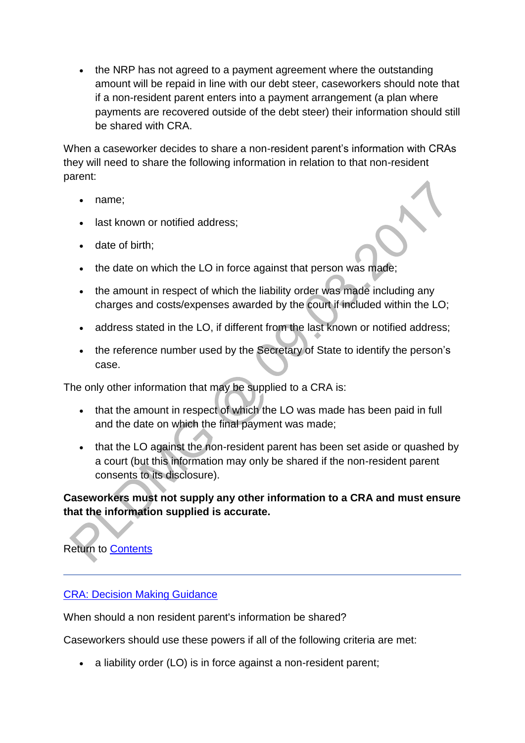• the NRP has not agreed to a payment agreement where the outstanding amount will be repaid in line with our debt steer, caseworkers should note that if a non-resident parent enters into a payment arrangement (a plan where payments are recovered outside of the debt steer) their information should still be shared with CRA.

When a caseworker decides to share a non-resident parent's information with CRAs they will need to share the following information in relation to that non-resident parent:

- name;
- last known or notified address;
- date of birth;



- the amount in respect of which the liability order was made including any charges and costs/expenses awarded by the court if included within the LO;
- address stated in the LO, if different from the last known or notified address;
- the reference number used by the Secretary of State to identify the person's case.

The only other information that may be supplied to a CRA is:

- that the amount in respect of which the LO was made has been paid in full and the date on which the final payment was made;
- that the LO against the non-resident parent has been set aside or quashed by a court (but this information may only be shared if the non-resident parent consents to its disclosure).

## **Caseworkers must not supply any other information to a CRA and must ensure that the information supplied is accurate.**

# Return to [Contents](http://np-cmg-sharepoint.link2.gpn.gov.uk/sites/policy-law-and-decision-making-guidance/Pages/Credit-Reference-Agency-Disclosure.aspx#Contents)

#### [CRA: Decision Making Guidance](http://np-cmg-sharepoint.link2.gpn.gov.uk/sites/policy-law-and-decision-making-guidance/Pages)

When should a non resident parent's information be shared?

Caseworkers should use these powers if all of the following criteria are met:

a liability order (LO) is in force against a non-resident parent;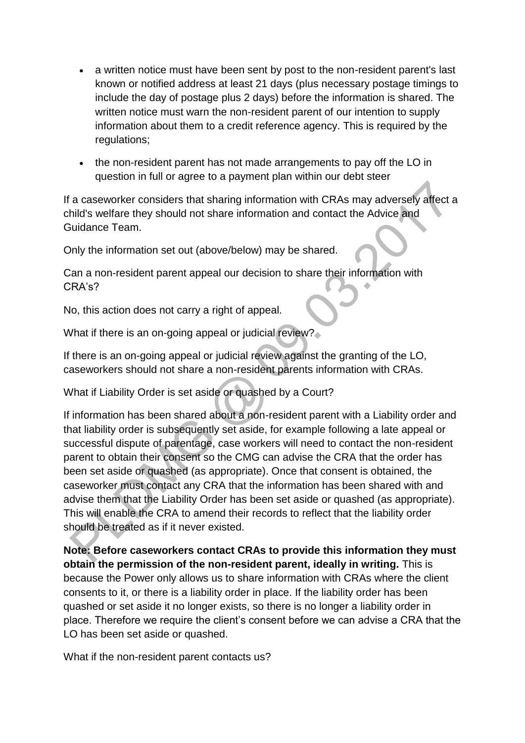- a written notice must have been sent by post to the non-resident parent's last known or notified address at least 21 days (plus necessary postage timings to include the day of postage plus 2 days) before the information is shared. The written notice must warn the non-resident parent of our intention to supply information about them to a credit reference agency. This is required by the regulations;
- the non-resident parent has not made arrangements to pay off the LO in question in full or agree to a payment plan within our debt steer

If a caseworker considers that sharing information with CRAs may adversely affect a child's welfare they should not share information and contact the Advice and Guidance Team.

Only the information set out (above/below) may be shared.

Can a non-resident parent appeal our decision to share their information with CRA's?

No, this action does not carry a right of appeal.

What if there is an on-going appeal or judicial review?

If there is an on-going appeal or judicial review against the granting of the LO, caseworkers should not share a non-resident parents information with CRAs.

What if Liability Order is set aside or quashed by a Court?

If information has been shared about a non-resident parent with a Liability order and that liability order is subsequently set aside, for example following a late appeal or successful dispute of parentage, case workers will need to contact the non-resident parent to obtain their consent so the CMG can advise the CRA that the order has been set aside or quashed (as appropriate). Once that consent is obtained, the caseworker must contact any CRA that the information has been shared with and advise them that the Liability Order has been set aside or quashed (as appropriate). This will enable the CRA to amend their records to reflect that the liability order should be treated as if it never existed.

**Note: Before caseworkers contact CRAs to provide this information they must obtain the permission of the non-resident parent, ideally in writing.** This is because the Power only allows us to share information with CRAs where the client consents to it, or there is a liability order in place. If the liability order has been quashed or set aside it no longer exists, so there is no longer a liability order in place. Therefore we require the client's consent before we can advise a CRA that the LO has been set aside or quashed.

What if the non-resident parent contacts us?